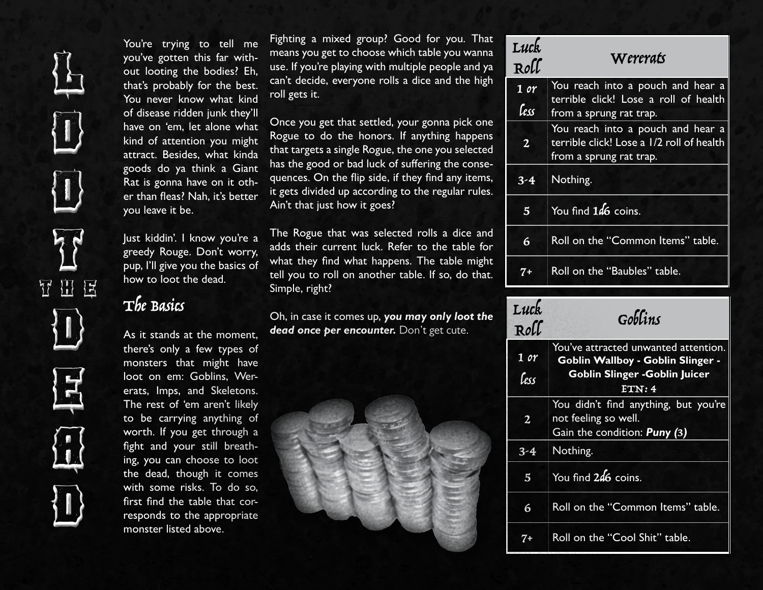You're trying to tell me you've gotten this far without looting the bodies? Eh, that's probably for the best. You never know what kind of disease ridden junk they'll have on 'em, let alone what kind of attention you might attract. Besides, what kinda goods do ya think a Giant Rat is gonna have on it other than fleas? Nah, it's better you leave it be.

Just kiddin'. I know you're a greedy Rouge. Don't worry, pup, I'll give you the basics of how to loot the dead.

## The Basics

As it stands at the moment, there's only a few types of monsters that might have loot on em: Goblins, Wererats, Imps, and Skeletons. The rest of 'em aren't likely to be carrying anything of worth. If you get through a fight and your still breathing, you can choose to loot the dead, though it comes with some risks. To do so, first find the table that corresponds to the appropriate monster listed above.

Fighting a mixed group? Good for you. That means you get to choose which table you wanna use. If you're playing with multiple people and ya can't decide, everyone rolls a dice and the high roll gets it.

Once you get that settled, your gonna pick one Rogue to do the honors. If anything happens that targets a single Rogue, the one you selected has the good or bad luck of suffering the consequences. On the flip side, if they find any items, it gets divided up according to the regular rules. Ain't that just how it goes?

The Rogue that was selected rolls a dice and adds their current luck. Refer to the table for what they find what happens. The table might tell you to roll on another table. If so, do that. Simple, right?

Oh, in case it comes up, *you may only loot the*  dead once per encounter. Don't get cute.



| Luck<br>Roll    | Wererats                                                                                                  |
|-----------------|-----------------------------------------------------------------------------------------------------------|
| 1 or            | You reach into a pouch and hear a<br>terrible click! Lose a roll of health                                |
| less            | from a sprung rat trap.                                                                                   |
| $\overline{2}$  | You reach into a pouch and hear a<br>terrible click! Lose a 1/2 roll of health<br>from a sprung rat trap. |
| $3-4$           | Nothing.                                                                                                  |
| $5\overline{5}$ | You find 146 coins.                                                                                       |
| 6               | Roll on the "Common Items" table.                                                                         |
| 7+              | Roll on the "Baubles" table.                                                                              |

| Luck<br>Roll   | Goblins                                                                                                                            |
|----------------|------------------------------------------------------------------------------------------------------------------------------------|
| 1 or<br>less   | You've attracted unwanted attention.<br><b>Goblin Wallboy - Goblin Slinger -</b><br><b>Goblin Slinger - Goblin Juicer</b><br>ETN:4 |
| $\overline{2}$ | You didn't find anything, but you're<br>not feeling so well.<br>Gain the condition: <b>Puny</b> (3)                                |
| $3 - 4$        | Nothing.                                                                                                                           |
| 5              | You find 246 coins.                                                                                                                |
| 6              | Roll on the "Common Items" table.                                                                                                  |
|                | Roll on the "Cool Shit" table.                                                                                                     |